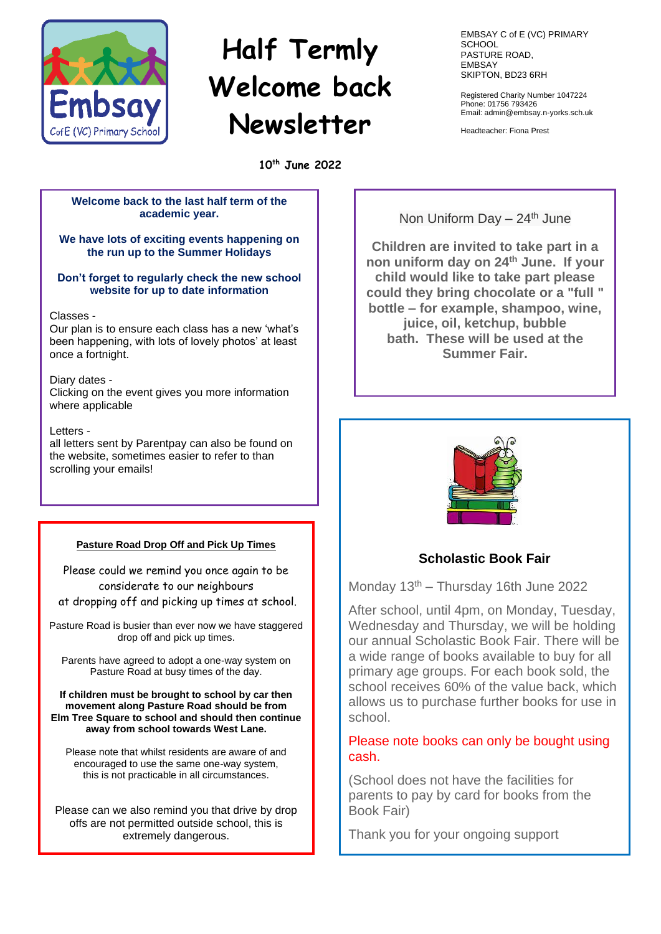

# **Half Termly Welcome back Newsletter**

**10th June 2022**

## **Welcome back to the last half term of the academic year.**

## **We have lots of exciting events happening on the run up to the Summer Holidays**

## **Don't forget to regularly check the new school website for up to date information**

## Classes -

Our plan is to ensure each class has a new 'what's been happening, with lots of lovely photos' at least once a fortnight.

## Diary dates -

Clicking on the event gives you more information where applicable

## Letters -

all letters sent by Parentpay can also be found on the website, sometimes easier to refer to than scrolling your emails!

## **Pasture Road Drop Off and Pick Up Times**

Please could we remind you once again to be considerate to our neighbours at dropping off and picking up times at school.

Pasture Road is busier than ever now we have staggered drop off and pick up times.

Parents have agreed to adopt a one-way system on Pasture Road at busy times of the day.

**If children must be brought to school by car then movement along Pasture Road should be from Elm Tree Square to school and should then continue away from school towards West Lane.** 

Please note that whilst residents are aware of and encouraged to use the same one-way system, this is not practicable in all circumstances.

Please can we also remind you that drive by drop offs are not permitted outside school, this is extremely dangerous.

EMBSAY C of E (VC) PRIMARY **SCHOOL** PASTURE ROAD, EMBSAY SKIPTON, BD23 6RH

Registered Charity Number 1047224 Phone: 01756 793426 Email: admin@embsay.n-yorks.sch.uk

Headteacher: Fiona Prest

Non Uniform Day  $-24<sup>th</sup>$  June

**Children are invited to take part in a non uniform day on 24th June. If your child would like to take part please could they bring chocolate or a "full " bottle – for example, shampoo, wine, juice, oil, ketchup, bubble bath. These will be used at the Summer Fair.**



# **Scholastic Book Fair**

Monday  $13<sup>th</sup>$  – Thursday 16th June 2022

After school, until 4pm, on Monday, Tuesday, Wednesday and Thursday, we will be holding our annual Scholastic Book Fair. There will be a wide range of books available to buy for all primary age groups. For each book sold, the school receives 60% of the value back, which allows us to purchase further books for use in school.

# Please note books can only be bought using cash.

(School does not have the facilities for parents to pay by card for books from the Book Fair)

Thank you for your ongoing support